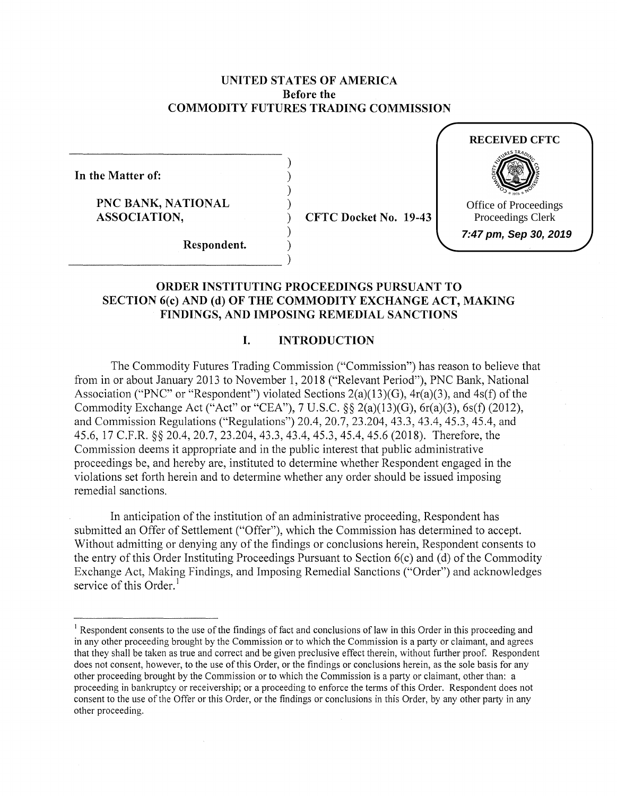# **UNITED STATES OF AMERICA Before the COMMODITY FUTURES TRADING COMMISSION**

) ) ) )

)

**In the Matter of:** 

**PNC BANK, NATIONAL ASSOCIATION,** 

) **CFTC Docket No. 19-43** 



**Respondent.** )  $\begin{array}{c} \textbf{Respondent.} \\ \hline \end{array}$ 

# **ORDER INSTITUTING PROCEEDINGS PURSUANT TO SECTION 6(c) AND (d) OF THE COMMODITY EXCHANGE ACT, MAKING FINDINGS, AND IMPOSING REMEDIAL SANCTIONS**

# **I. INTRODUCTION**

The Commodity Futures Trading Commission ("Commission") has reason to believe that from in or about January 2013 to November 1, 2018 ("Relevant Period"), PNC Bank, National Association ("PNC" or "Respondent") violated Sections 2(a)(13)(G), 4r(a)(3), and 4s(f) of the Commodity Exchange Act ("Act" or "CEA"), 7 U.S.C. §§ 2(a)(l3)(G), 6r(a)(3), 6s(f) (2012), and Commission Regulations ("Regulations") 20.4, 20.7, 23.204, 43.3, 43.4, 45.3, 45.4, and 45.6, 17 C.F.R. §§ 20.4, 20.7, 23.204, 43.3, 43.4, 45.3, 45.4, 45.6 (2018). Therefore, the Commission deems it appropriate and in the public interest that public administrative proceedings be, and hereby are, instituted to determine whether Respondent engaged in the violations set forth herein and to determine whether any order should be issued imposing remedial sanctions.

In anticipation of the institution of an administrative proceeding, Respondent has submitted an Offer of Settlement ("Offer"), which the Commission has determined to accept. Without admitting or denying any of the findings or conclusions herein, Respondent consents to the entry of this Order Instituting Proceedings Pursuant to Section 6(c) and (d) of the Commodity Exchange Act, Making Findings, and Imposing Remedial Sanctions ("Order") and acknowledges service of this Order.<sup>1</sup>

<sup>&</sup>lt;sup>1</sup> Respondent consents to the use of the findings of fact and conclusions of law in this Order in this proceeding and in any other proceeding brought by the Commission or to which the Commission is a party or claimant, and agrees that they shall be taken as true and correct and be given preclusive effect therein, without further proof. Respondent does not consent, however, to the use of this Order, or the findings or conclusions herein, as the sole basis for any other proceeding brought by the Commission or to which the Commission is a party or claimant, other than: a proceeding in bankruptcy or receivership; or a proceeding to enforce the terms of this Order. Respondent does not consent to the use of the Offer or this Order, or the findings or conclusions in this Order, by any other party in any other proceeding.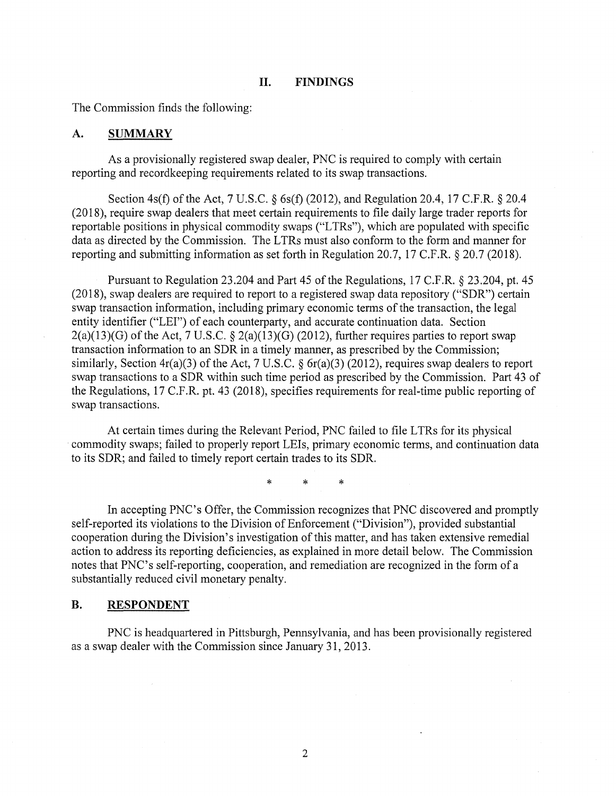#### **II. FINDINGS**

The Commission finds the following:

#### **A. SUMMARY**

As a provisionally registered swap dealer, PNC is required to comply with certain reporting and recordkeeping requirements related to its swap transactions.

Section 4s(f) of the Act, 7 U.S.C. *§* 6s(f) (2012), and Regulation 20.4, 17 C.F.R. *§* 20.4 (2018), require swap dealers that meet certain requirements to file daily large trader reports for reportable positions in physical commodity swaps ("LTRs"), which are populated with specific data as directed by the Commission. The LTRs must also conform to the form and manner for reporting and submitting information as set forth in Regulation 20.7, 17 C.F.R. § 20.7 (2018).

Pursuant to Regulation 23.204 and Part 45 of the Regulations, 17 C.F.R. § 23.204, pt. 45 (2018), swap dealers are required to report to a registered swap data repository ("SDR") certain swap transaction information, including primary economic terms of the transaction, the legal entity identifier ("LEI") of each counterparty, and accurate continuation data. Section  $2(a)(13)(G)$  of the Act, 7 U.S.C. §  $2(a)(13)(G)$  (2012), further requires parties to report swap transaction information to an SDR in a timely manner, as prescribed by the Commission; similarly, Section 4r(a)(3) of the Act, 7 U.S.C. § 6r(a)(3) (2012), requires swap dealers to report swap transactions to a SDR within such time period as prescribed by the Commission. Part 43 of the Regulations, 17 C.F.R. pt. 43 (2018), specifies requirements for real-time public reporting of swap transactions.

At certain times during the Relevant Period, PNC failed to file L TRs for its physical commodity swaps; failed to properly report LEis, primary economic terms, and continuation data to its SDR; and failed to timely report certain trades to its SDR.

\* \* \*

In accepting PNC's Offer, the Commission recognizes that PNC discovered and promptly self-reported its violations to the Division of Enforcement ("Division"), provided substantial cooperation during the Division's investigation of this matter, and has taken extensive remedial action to address its reporting deficiencies, as explained in more detail below. The Commission notes that PNC's self-reporting, cooperation, and remediation are recognized in the form of a substantially reduced civil monetary penalty.

# **B. RESPONDENT**

PNC is headquartered in Pittsburgh, Pennsylvania, and has been provisionally registered as a swap dealer with the Commission since January 31, 2013.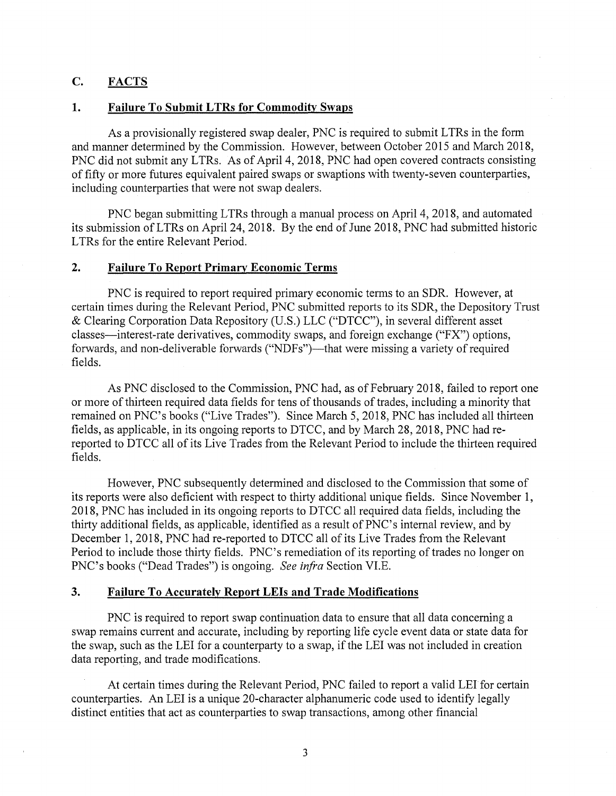# **C. FACTS**

# 1. **Failure To Submit LTRs for Commodity Swaps**

As a provisionally registered swap dealer, PNC is required to submit LTRs in the form and manner determined by the Commission. However, between October 2015 and March 2018, PNC did not submit any LTRs. As of April 4, 2018, PNC had open covered contracts consisting of fifty or more futures equivalent paired swaps or swaptions with twenty-seven counterparties, including counterparties that were not swap dealers.

PNC began submitting LTRs through a manual process on April 4, 2018, and automated its submission ofLTRs on April 24, 2018. By the end of June 2018, PNC had submitted historic LTRs for the entire Relevant Period.

#### **2. Failure To Report Primary Economic Terms**

PNC is required to report required primary economic terms to an SDR. However, at certain times during the Relevant Period, PNC submitted reports to its SDR, the Depository Trust & Clearing Corporation Data Repository (U.S.) LLC ("DTCC"), in several different asset classes-interest-rate derivatives, commodity swaps, and foreign exchange ("PX") options, forwards, and non-deliverable forwards ("NDFs")—that were missing a variety of required fields.

As PNC disclosed to the Commission, PNC had, as of February 2018, failed to report one or more of thirteen required data fields for tens of thousands of trades, including a minority that remained on PNC's books ("Live Trades"). Since March 5, 2018, PNC has included all thirteen fields, as applicable, in its ongoing reports to DTCC, and by March 28, 2018, PNC had rereported to DTCC all of its Live Trades from the Relevant Period to include the thirteen required fields.

However, PNC subsequently determined and disclosed to the Commission that some of its reports were also deficient with respect to thirty additional unique fields. Since November 1, 2018, PNC has included in its ongoing reports to DTCC all required data fields, including the thirty additional fields, as applicable, identified as a result of PNC's internal review, and by December 1, 2018, PNC had re-reported to DTCC all of its Live Trades from the Relevant Period to include those thirty fields. PNC's remediation of its reporting of trades no longer on PNC's books ("Dead Trades") is ongoing. *See infra* Section VI.E.

### **3. Failure To Accurately Report LEis and Trade Modifications**

PNC is required to report swap continuation data to ensure that all data concerning a swap remains current and accurate, including by reporting life cycle event data or state data for the swap, such as the LEI for a counterparty to a swap, if the LEI was not included in creation data reporting, and trade modifications.

At certain times during the Relevant Period, PNC failed to report a valid LEI for certain counterparties. An LEI is a unique 20-character alphanumeric code used to identify legally distinct entities that act as counterparties to swap transactions, among other financial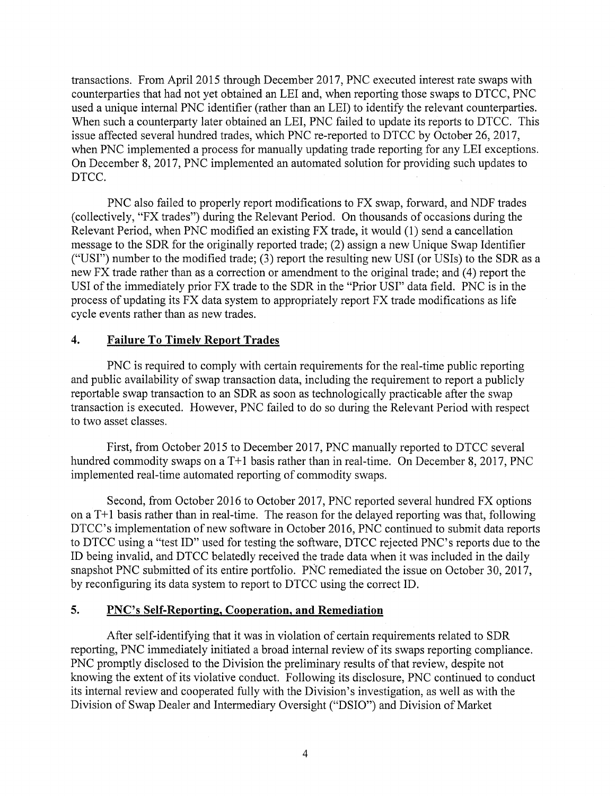transactions. From April 2015 through December 2017, PNC executed interest rate swaps with counterparties that had not yet obtained an LEI and, when reporting those swaps to DTCC, PNC used a unique internal PNC identifier (rather than an LEI) to identify the relevant counterparties. When such a counterparty later obtained an LEI, PNC failed to update its reports to DTCC. This issue affected several hundred trades, which PNC re-reported to DTCC by October 26, 2017, when PNC implemented a process for manually updating trade reporting for any LEI exceptions. On December 8, 2017, PNC implemented an automated solution for providing such updates to DTCC.

PNC also failed to properly report modifications to FX swap, forward, and NDF trades ( collectively, "FX trades") during the Relevant Period. On thousands of occasions during the Relevant Period, when PNC modified an existing FX trade, it would (1) send a cancellation message to the SDR for the originally reported trade; (2) assign a new Unique Swap Identifier ("USI") number to the modified trade; (3) report the resulting new USI (or USis) to the SDR as a new FX trade rather than as a correction or amendment to the original trade; and (4) report the USI of the immediately prior FX trade to the SDR in the "Prior USI" data field. PNC is in the process of updating its FX data system to appropriately report FX trade modifications as life cycle events rather than as new trades.

# **4. Failure To Timely Report Trades**

PNC is required to comply with certain requirements for the real-time public reporting and public availability of swap transaction data, including the requirement to report a publicly reportable swap transaction to an SDR as soon as technologically practicable after the swap transaction is executed. However, PNC failed to do so during the Relevant Period with respect to two asset classes.

First, from October 2015 to December 2017, PNC manually reported to DTCC several hundred commodity swaps on a  $T+1$  basis rather than in real-time. On December 8, 2017, PNC implemented real-time automated reporting of commodity swaps.

Second, from October 2016 to October 2017, PNC reported several hundred FX options on a  $T+1$  basis rather than in real-time. The reason for the delayed reporting was that, following DTCC's implementation of new software in October 2016, PNC continued to submit data reports to DTCC using a "test ID" used for testing the software, DTCC rejected PNC's reports due to the ID being invalid, and DTCC belatedly received the trade data when it was included in the daily snapshot PNC submitted of its entire portfolio. PNC remediated the issue on October 30, 2017, by reconfiguring its data system to report to DTCC using the correct ID.

### **5. PNC's Self-Reporting, Cooperation, and Remediation**

After self-identifying that it was in violation of certain requirements related to SDR reporting, PNC immediately initiated a broad internal review of its swaps reporting compliance. PNC promptly disclosed to the Division the preliminary results of that review, despite not knowing the extent of its violative conduct. Following its disclosure, PNC continued to conduct its internal review and cooperated fully with the Division's investigation, as well as with the Division of Swap Dealer and Intermediary Oversight ("DSIO") and Division of Market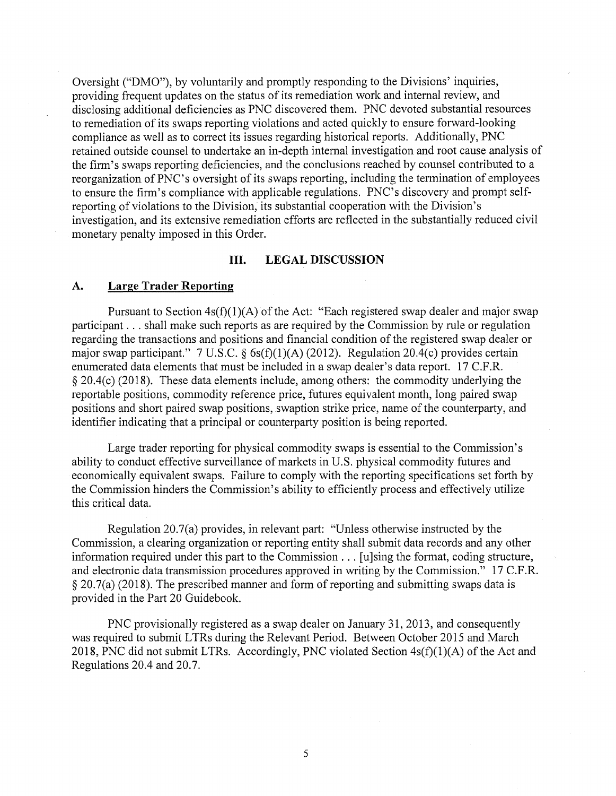Oversight ("DMO"), by voluntarily and promptly responding to the Divisions' inquiries, providing frequent updates on the status of its remediation work and internal review, and disclosing additional deficiencies as PNC discovered them. PNC devoted substantial resources to remediation of its swaps reporting violations and acted quickly to ensure forward-looking compliance as well as to correct its issues regarding historical reports. Additionally, PNC retained outside counsel to undertake an in-depth internal investigation and root cause analysis of the firm's swaps reporting deficiencies, and the conclusions reached by counsel contributed to a reorganization of PNC's oversight of its swaps reporting, including the termination of employees to ensure the firm's compliance with applicable regulations. PNC's discovery and prompt selfreporting of violations to the Division, its substantial cooperation with the Division's investigation, and its extensive remediation efforts are reflected in the substantially reduced civil monetary penalty imposed in this Order.

#### **III. LEGAL DISCUSSION**

### **A. Large Trader Reporting**

Pursuant to Section  $4s(f)(1)(A)$  of the Act: "Each registered swap dealer and major swap participant ... shall make such reports as are required by the Commission by rule or regulation regarding the transactions and positions and financial condition of the registered swap dealer or major swap participant." 7 U.S.C.  $\S$  6s(f)(1)(A) (2012). Regulation 20.4(c) provides certain enumerated data elements that must be included in a swap dealer's data report. 17 C.F.R. § 20.4(c) (2018). These data elements include, among others: the commodity underlying the reportable positions, commodity reference price, futures equivalent month, long paired swap positions and short paired swap positions, swaption strike price, name of the counterparty, and identifier indicating that a principal or counterparty position is being reported.

Large trader reporting for physical commodity swaps is essential to the Commission's ability to conduct effective surveillance of markets in U.S. physical commodity futures and economically equivalent swaps. Failure to comply with the reporting specifications set forth by the Commission hinders the Commission's ability to efficiently process and effectively utilize this critical data.

Regulation 20.7(a) provides, in relevant part: "Unless otherwise instructed by the Commission, a clearing organization or reporting entity shall submit data records and any other information required under this part to the Commission ... [u]sing the format, coding structure, and electronic data transmission procedures approved in writing by the Commission." 17 C.F.R.  $\S 20.7(a)$  (2018). The prescribed manner and form of reporting and submitting swaps data is provided in the Part 20 Guidebook.

PNC provisionally registered as a swap dealer on January 31, 2013, and consequently was required to submit LTRs during the Relevant Period. Between October 2015 and March 2018, PNC did not submit LTRs. Accordingly, PNC violated Section  $4s(f)(1)(A)$  of the Act and Regulations 20.4 and 20.7.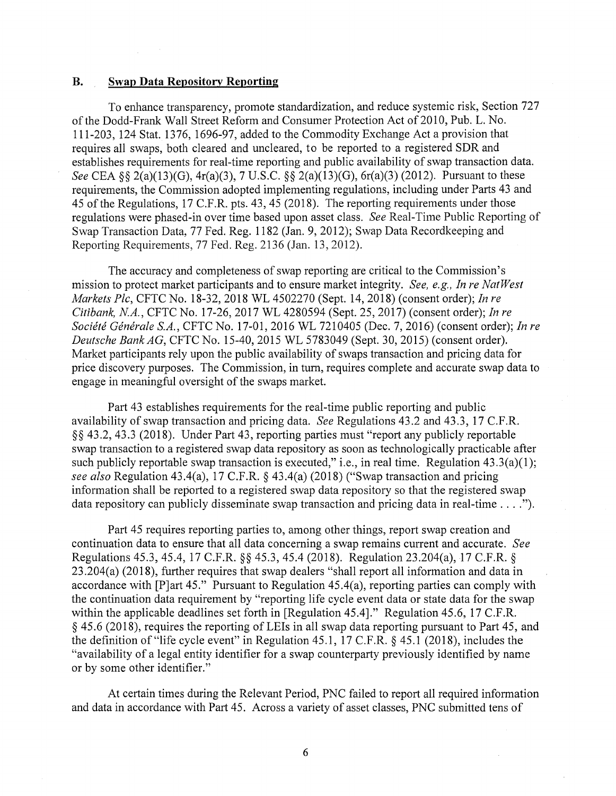#### **B. Swap Data Repository Reporting**

To enhance transparency, promote standardization, and reduce systemic risk, Section 727 of the Dodd-Frank Wall Street Reform and Consumer Protection Act of 2010, Pub. L. No. 111-203, 124 Stat. 1376, 1696-97, added to the Commodity Exchange Act a provision that requires all swaps, both cleared and uncleared, to be reported to a registered SDR and establishes requirements for real-time reporting and public availability of swap transaction data. *See* CEA§§ 2(a)(13)(G), 4r(a)(3), 7 U.S.C. §§ 2(a)(13)(G), 6r(a)(3) (2012). Pursuant to these requirements, the Commission adopted implementing regulations, including under Parts 43 and 45 of the Regulations, 17 C.F.R. pts. 43, 45 (2018). The reporting requirements under those regulations were phased-in over time based upon asset class. *See* Real-Time Public Reporting of Swap Transaction Data, 77 Fed. Reg. 1182 (Jan. 9, 2012); Swap Data Recordkeeping and Reporting Requirements, 77 Fed. Reg. 2136 (Jan. 13, 2012).

The accuracy and completeness of swap reporting are critical to the Commission's mission to protect market participants and to ensure market integrity. *See, e.g., In re NatWest Markets Plc,* CFTC No. 18-32, 2018 WL 4502270 (Sept. 14, 2018) (consent order); *In re Citibank, NA.,* CFTC No. 17-26, 2017 WL 4280594 (Sept. 25, 2017) (consent order); *In re Societe Generale S.A.,* CFTC No. 17-01, 2016 WL 7210405 (Dec. 7, 2016) (consent order); *In re Deutsche Bank AG,* CFTC No. 15-40, 2015 WL 5783049 (Sept. 30, 2015) (consent order). Market participants rely upon the public availability of swaps transaction and pricing data for price discovery purposes. The Commission, in turn, requires complete and accurate swap data to engage in meaningful oversight of the swaps market.

Part 43 establishes requirements for the real-time public reporting and public availability of swap transaction and pricing data. *See* Regulations 43.2 and 43.3, 17 C.F.R. § § 43 .2, 43 .3 (2018). Under Part 43, reporting parties must "report any publicly reportable swap transaction to a registered swap data repository as soon as technologically practicable after such publicly reportable swap transaction is executed," i.e., in real time. Regulation 43.3(a)(1); *see also* Regulation 43.4(a), 17 C.F.R. § 43.4(a) (2018) ("Swap transaction and pricing information shall be reported to a registered swap data repository so that the registered swap data repository can publicly disseminate swap transaction and pricing data in real-time .... ").

Part 45 requires reporting parties to, among other things, report swap creation and continuation data to ensure that all data concerning a swap remains current and accurate. *See*  Regulations 45.3, 45.4, 17 C.F.R. *§§* 45.3, 45.4 (2018). Regulation 23.204(a), 17 C.F.R. *§*  23.204(a) (2018), further requires that swap dealers "shall report all information and data in accordance with [P]art 45." Pursuant to Regulation 45.4(a), reporting parties can comply with the continuation data requirement by "reporting life cycle event data or state data for the swap within the applicable deadlines set forth in [Regulation 45.4]." Regulation 45.6, 17 C.F.R. § 45.6 (2018), requires the reporting of LEis in all swap data reporting pursuant to Part 45, and the definition of "life cycle event" in Regulation 45 .1, 17 C.F .R. § 45 .1 (2018), includes the "availability of a legal entity identifier for a swap counterparty previously identified by name or by some other identifier."

At certain times during the Relevant Period, PNC failed to report all required information and data in accordance with Part 45. Across a variety of asset classes, PNC submitted tens of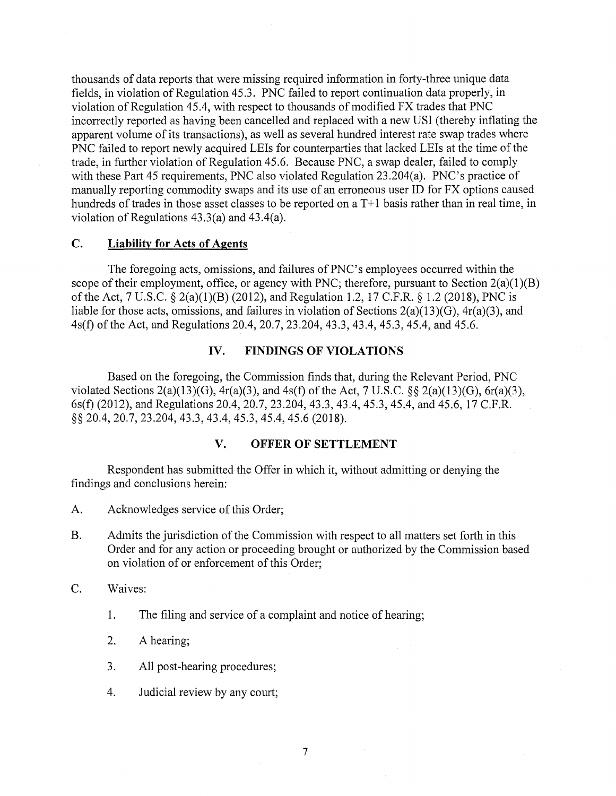thousands of data reports that were missing required information in forty-three unique data fields, in violation of Regulation 45.3. PNC failed to report continuation data properly, in violation of Regulation 45.4, with respect to thousands of modified FX trades that PNC incorrectly reported as having been cancelled and replaced with a new USI (thereby inflating the apparent volume of its transactions), as well as several hundred interest rate swap trades where PNC failed to report newly acquired LEis for counterparties that lacked LEis at the time of the trade, in further violation of Regulation 45.6. Because PNC, a swap dealer, failed to comply with these Part 45 requirements, PNC also violated Regulation 23.204(a). PNC's practice of manually reporting commodity swaps and its use of an erroneous user ID for FX options caused hundreds of trades in those asset classes to be reported on a T+1 basis rather than in real time, in violation of Regulations 43.3(a) and 43.4(a).

# **C. Liability for Acts of Agents**

The foregoing acts, omissions, and failures of PNC's employees occurred within the scope of their employment, office, or agency with PNC; therefore, pursuant to Section  $2(a)(1)(B)$ of the Act, 7 U.S.C. § 2(a)(l)(B) (2012), and Regulation 1.2, 17 C.F.R. § 1.2 (2018), PNC is liable for those acts, omissions, and failures in violation of Sections  $2(a)(13)(G)$ ,  $4r(a)(3)$ , and 4s(f) of the Act, and Regulations 20.4, 20.7, 23.204, 43.3, 43.4, 45.3, 45.4, and 45.6.

#### **IV. FINDINGS OF VIOLATIONS**

Based on the foregoing, the Commission finds that, during the Relevant Period, PNC violated Sections  $2(a)(13)(G)$ ,  $4r(a)(3)$ , and  $4s(f)$  of the Act, 7 U.S.C. §§  $2(a)(13)(G)$ ,  $6r(a)(3)$ , 6s(f) (2012), and Regulations 20.4, 20.7, 23.204, 43.3, 43.4, 45.3, 45.4, and 45.6, 17 C.F.R. §§ 20.4, 20.7, 23.204, 43.3, 43.4, 45.3, 45.4, 45.6 (2018).

# **V. OFFER OF SETTLEMENT**

Respondent has submitted the Offer in which it, without admitting or denying the findings and conclusions herein:

- A. Acknowledges service of this Order;
- B. Admits the jurisdiction of the Commission with respect to all matters set forth in this Order and for any action or proceeding brought or authorized by the Commission based on violation of or enforcement of this Order;
- C. Waives:
	- 1. The filing and service of a complaint and notice of hearing;
	- 2. A hearing;
	- 3. All post-hearing procedures;
	- 4. Judicial review by any court;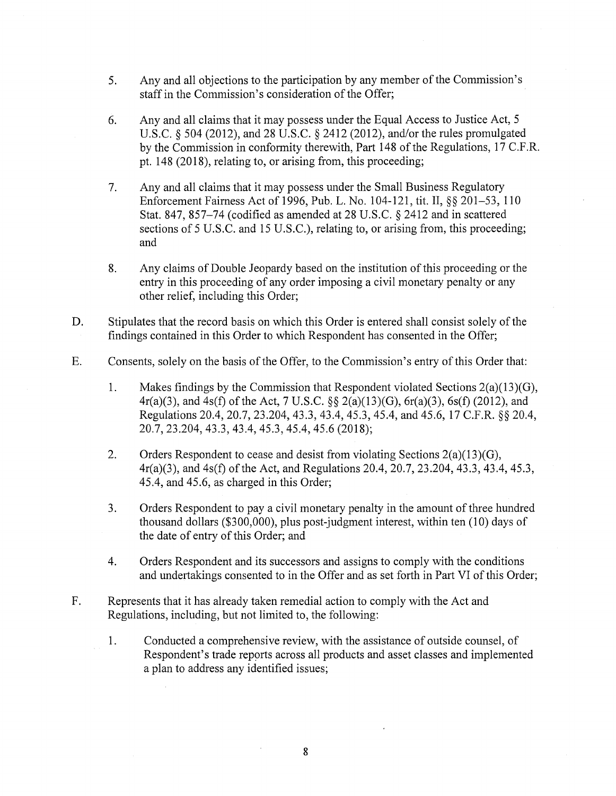- 5. Any and all objections to the participation by any member of the Commission's staff in the Commission's consideration of the Offer;
- 6. Any and all claims that it may possess under the Equal Access to Justice Act, 5 U.S.C. § 504 (2012), and 28 U.S.C. § 2412 (2012), and/or the rules promulgated by the Commission in conformity therewith, Part 148 of the Regulations, 17 C.F.R. pt. 148 (2018), relating to, or arising from, this proceeding;
- 7. Any and all claims that it may possess under the Small Business Regulatory Enforcement Fairness Act of 1996, Pub. L. No. 104-121, tit. II,§§ 201-53, 110 Stat. 847, 857-74 (codified as amended at 28 U.S.C. § 2412 and in scattered sections of 5 U.S.C. and 15 U.S.C.), relating to, or arising from, this proceeding; and
- 8. Any claims of Double Jeopardy based on the institution of this proceeding or the entry in this proceeding of any order imposing a civil monetary penalty or any other relief, including this Order;
- D. Stipulates that the record basis on which this Order is entered shall consist solely of the findings contained in this Order to which Respondent has consented in the Offer;
- E. Consents, solely on the basis of the Offer, to the Commission's entry of this Order that:
	- 1. Makes findings by the Commission that Respondent violated Sections 2(a)(13)(G), 4r(a)(3), and 4s(f) of the Act, 7 U.S.C. §§ 2(a)(13)(G), 6r(a)(3), 6s(f) (2012), and Regulations 20.4, 20.7, 23.204, 43.3, 43.4, 45.3, 45.4, and 45.6, 17 C.F.R. §§ 20.4, 20.7, 23.204, 43.3, 43.4, 45.3, 45.4, 45.6 (2018);
	- 2. Orders Respondent to cease and desist from violating Sections  $2(a)(13)(G)$ , 4r(a)(3), and 4s(f) of the Act, and Regulations 20.4, 20.7, 23.204, 43.3, 43.4, 45.3, 45.4, and 45.6, as charged in this Order;
	- 3. Orders Respondent to pay a civil monetary penalty in the amount of three hundred thousand dollars (\$300,000), plus post-judgment interest, within ten (10) days of the date of entry of this Order; and
	- 4. Orders Respondent and its successors and assigns to comply with the conditions and undertakings consented to in the Offer and as set forth in Part VI of this Order;
- F. Represents that it has already taken remedial action to comply with the Act and Regulations, including, but not limited to, the following:
	- 1. Conducted a comprehensive review, with the assistance of outside counsel, of Respondent's trade reports across all products and asset classes and implemented a plan to address any identified issues;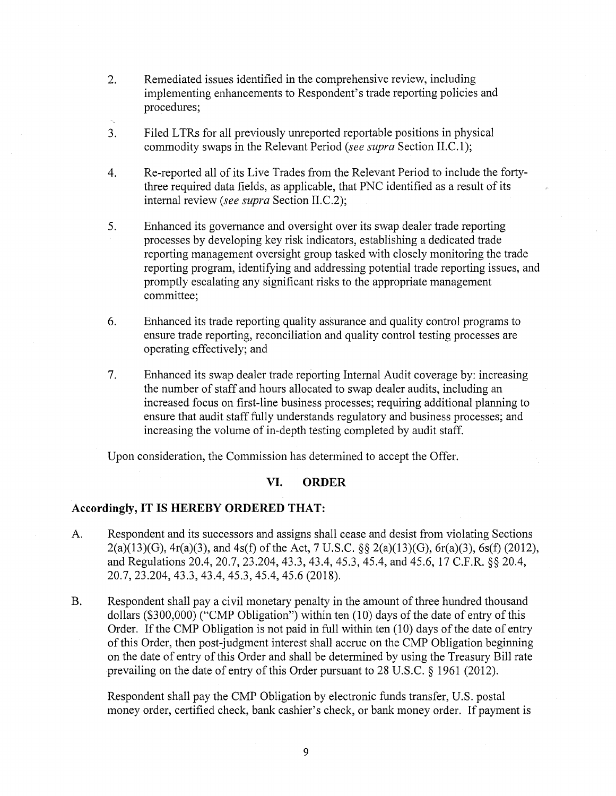- 2. Remediated issues identified in the comprehensive review, including implementing enhancements to Respondent's trade reporting policies and procedures;
- 3. Filed L TRs for all previously unreported reportable positions in physical commodity swaps in the Relevant Period *(see supra* Section II.C.l);
- 4. Re-reported all of its Live Trades from the Relevant Period to include the fortythree required data fields, as applicable, that PNC identified as a result of its internal review *(see supra* Section II.C.2);
- 5. Enhanced its governance and oversight over its swap dealer trade reporting processes by developing key risk indicators, establishing a dedicated trade reporting management oversight group tasked with closely monitoring the trade reporting program, identifying and addressing potential trade reporting issues, and promptly escalating any significant risks to the appropriate management committee;
- 6. Enhanced its trade reporting quality assurance and quality control programs to ensure trade reporting, reconciliation and quality control testing processes are operating effectively; and
- 7. Enhanced its swap dealer trade reporting Internal Audit coverage by: increasing the number of staff and hours allocated to swap dealer audits, including an increased focus on first-line business processes; requiring additional planning to ensure that audit staff fully understands regulatory and business processes; and increasing the volume of in-depth testing completed by audit staff.

Upon consideration, the Commission has determined to accept the Offer.

### **VI. ORDER**

### **Accordingly, IT IS HEREBY ORDERED THAT:**

- A. Respondent and its successors and assigns shall cease and desist from violating Sections 2(a)(13)(G), 4r(a)(3), and 4s(f) of the Act, 7 U.S.C. §§ 2(a)(13)(G), 6r(a)(3), 6s(f) (2012), and Regulations 20.4, 20.7, 23.204, 43.3, 43.4, 45.3, 45.4, and 45.6, 17 C.F.R. §§ 20.4, 20.7, 23.204, 43.3, 43.4, 45.3, 45.4, 45.6 (2018).
- B. Respondent shall pay a civil monetary penalty in the amount of three hundred thousand dollars (\$300,000) ("CMP Obligation") within ten (10) days of the date of entry of this Order. If the CMP Obligation is not paid in full within ten (10) days of the date of entry of this Order, then post-judgment interest shall accrue on the CMP Obligation beginning on the date of entry of this Order and shall be determined by using the Treasury Bill rate prevailing on the date of entry of this Order pursuant to 28 U.S.C. § 1961 (2012).

Respondent shall pay the CMP Obligation by electronic funds transfer, U.S. postal money order, certified check, bank cashier's check, or bank money order. If payment is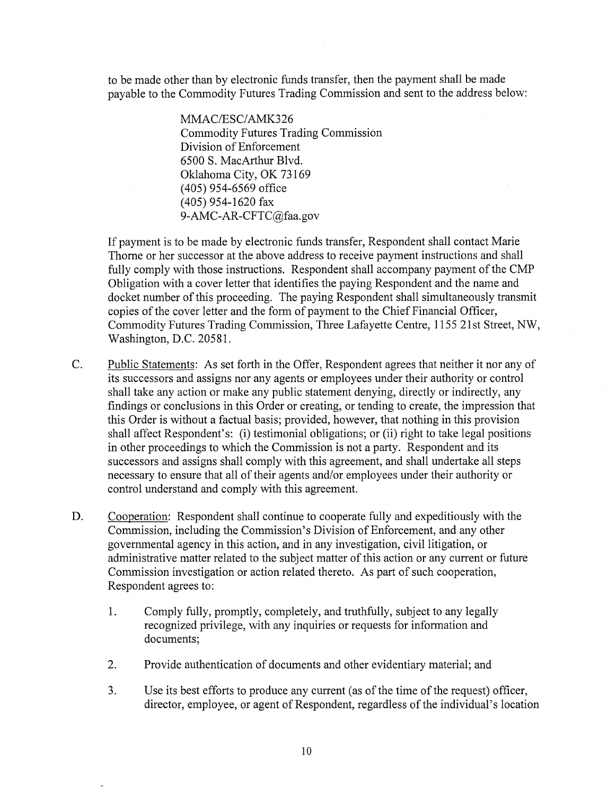to be made other than by electronic funds transfer, then the payment shall be made payable to the Commodity Futures Trading Commission and sent to the address below:

> MMAC/ESC/AMK326 Commodity Futures Trading Commission Division of Enforcement 6500 S. MacArthur Blvd. Oklahoma City, OK 73169 ( 405) 954-6569 office ( 405) 954-1620 fax 9-AMC-AR-CFTC@faa.gov

If payment is to be made by electronic funds transfer, Respondent shall contact Marie Thome or her successor at the above address to receive payment instructions and shall fully comply with those instructions. Respondent shall accompany payment of the CMP Obligation with a cover letter that identifies the paying Respondent and the name and docket number of this proceeding. The paying Respondent shall simultaneously transmit copies of the cover letter and the form of payment to the Chief Financial Officer, Commodity Futures Trading Commission, Three Lafayette Centre, 1155 21st Street, NW, Washington, D.C. 20581.

C. Public Statements: As set forth in the Offer, Respondent agrees that neither it nor any of its successors and assigns nor any agents or employees under their authority or control shall take any action or make any public statement denying, directly or indirectly, any findings or conclusions in this Order or creating, or tending to create, the impression that this Order is without a factual basis; provided, however, that nothing in this provision shall affect Respondent's: (i) testimonial obligations; or (ii) right to take legal positions in other proceedings to which the Commission is not a party. Respondent and its successors and assigns shall comply with this agreement, and shall undertake all steps necessary to ensure that all of their agents and/or employees under their authority or control understand and comply with this agreement.

D. Cooperation: Respondent shall continue to cooperate fully and expeditiously with the Commission, including the Commission's Division of Enforcement, and any other governmental agency in this action, and in any investigation, civil litigation, or administrative matter related to the subject matter of this action or any current or future Commission investigation or action related thereto. As part of such cooperation, Respondent agrees to:

- 1. Comply fully, promptly, completely, and truthfully, subject to any legally recognized privilege, with any inquiries or requests for information and documents;
- 2. Provide authentication of documents and other evidentiary material; and
- 3. Use its best efforts to produce any current (as of the time of the request) officer, director, employee, or agent of Respondent, regardless of the individual's location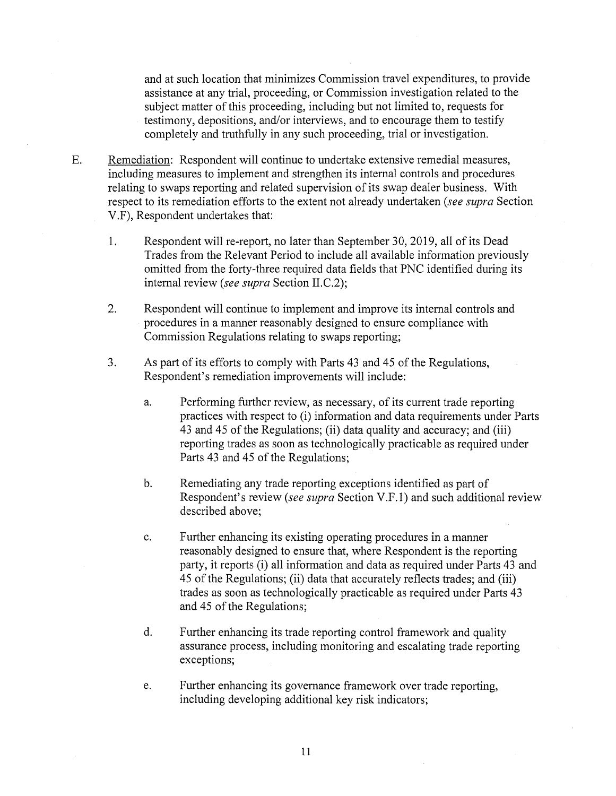and at such location that minimizes Commission travel expenditures, to provide assistance at any trial, proceeding, or Commission investigation related to the subject matter of this proceeding, including but not limited to, requests for testimony, depositions, and/or interviews, and to encourage them to testify completely and truthfully in any such proceeding, trial or investigation.

- E. Remediation: Respondent will continue to undertake extensive remedial measures, including measures to implement and strengthen its internal controls and procedures relating to swaps reporting and related supervision of its swap dealer business. With respect to its remediation efforts to the extent not already undertaken *(see supra* Section V .F), Respondent undertakes that:
	- 1. Respondent will re-report, no later than September 30, 2019, all of its Dead Trades from the Relevant Period to include all available information previously omitted from the forty-three required data fields that PNC identified during its internal review *(see supra* Section II.C.2);
	- 2. Respondent will continue to implement and improve its internal controls and procedures in a manner reasonably designed to ensure compliance with Commission Regulations relating to swaps reporting;
	- 3. As part of its efforts to comply with Parts 43 and 45 of the Regulations, Respondent's remediation improvements will include:
		- a. Performing further review, as necessary, of its current trade reporting practices with respect to (i) information and data requirements under Parts 43 and 45 of the Regulations; (ii) data quality and accuracy; and (iii) reporting trades as soon as technologically practicable as required under Parts 43 and 45 of the Regulations;
		- b. Remediating any trade reporting exceptions identified as part of Respondent's review *(see supra* Section V.F.l) and such additional review described above;
		- c. Further enhancing its existing operating procedures in a manner reasonably designed to ensure that, where Respondent is the reporting party, it reports (i) all information and data as required under Parts 43 and 45 of the Regulations; (ii) data that accurately reflects trades; and (iii) trades as soon as technologically practicable as required under Parts 43 and 45 of the Regulations;
		- d. Further enhancing its trade reporting control framework and quality assurance process, including monitoring and escalating trade reporting exceptions;
		- e. Further enhancing its governance framework over trade reporting, including developing additional key risk indicators;